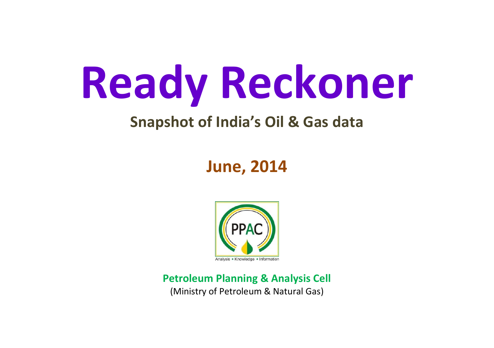# **Ready Reckoner**

#### **Snapshot of India's Oil & Gas data**

### **June, 2014**



**Petroleum Planning & Analysis Cell** (Ministry of Petroleum & Natural Gas)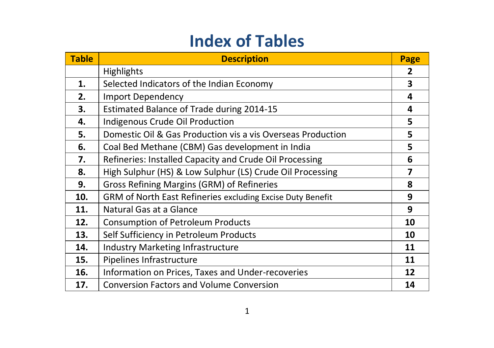### **Index of Tables**

| <b>Table</b> | <b>Description</b>                                          | Page |
|--------------|-------------------------------------------------------------|------|
|              | <b>Highlights</b>                                           | 2    |
| 1.           | Selected Indicators of the Indian Economy                   | 3    |
| 2.           | <b>Import Dependency</b>                                    | 4    |
| 3.           | Estimated Balance of Trade during 2014-15                   | 4    |
| 4.           | Indigenous Crude Oil Production                             | 5    |
| 5.           | Domestic Oil & Gas Production vis a vis Overseas Production | 5    |
| 6.           | Coal Bed Methane (CBM) Gas development in India             | 5    |
| 7.           | Refineries: Installed Capacity and Crude Oil Processing     | 6    |
| 8.           | High Sulphur (HS) & Low Sulphur (LS) Crude Oil Processing   | 7    |
| 9.           | Gross Refining Margins (GRM) of Refineries                  | 8    |
| 10.          | GRM of North East Refineries excluding Excise Duty Benefit  | 9    |
| 11.          | Natural Gas at a Glance                                     | 9    |
| 12.          | <b>Consumption of Petroleum Products</b>                    | 10   |
| 13.          | Self Sufficiency in Petroleum Products                      | 10   |
| 14.          | Industry Marketing Infrastructure                           | 11   |
| 15.          | Pipelines Infrastructure                                    | 11   |
| 16.          | Information on Prices, Taxes and Under-recoveries           | 12   |
| 17.          | <b>Conversion Factors and Volume Conversion</b>             | 14   |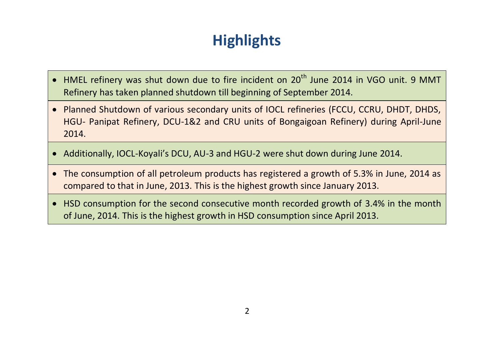## **Highlights**

- HMEL refinery was shut down due to fire incident on 20<sup>th</sup> June 2014 in VGO unit. 9 MMT Refinery has taken planned shutdown till beginning of September 2014.
- Planned Shutdown of various secondary units of IOCL refineries (FCCU, CCRU, DHDT, DHDS, HGU- Panipat Refinery, DCU-1&2 and CRU units of Bongaigoan Refinery) during April-June 2014.
- Additionally, IOCL-Koyali's DCU, AU-3 and HGU-2 were shut down during June 2014.
- The consumption of all petroleum products has registered a growth of 5.3% in June, 2014 as compared to that in June, 2013. This is the highest growth since January 2013.
- HSD consumption for the second consecutive month recorded growth of 3.4% in the month of June, 2014. This is the highest growth in HSD consumption since April 2013.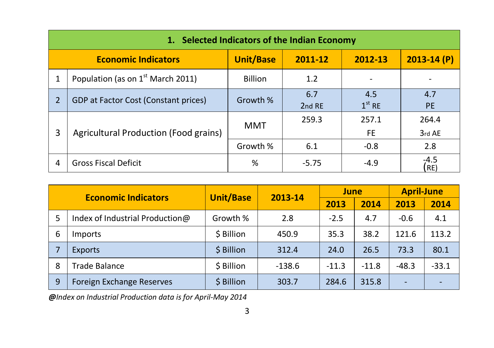|   | 1. Selected Indicators of the Indian Economy  |                  |               |                 |                  |  |  |  |  |
|---|-----------------------------------------------|------------------|---------------|-----------------|------------------|--|--|--|--|
|   | <b>Economic Indicators</b>                    | <b>Unit/Base</b> | 2011-12       | 2012-13         | $2013 - 14(P)$   |  |  |  |  |
|   | Population (as on 1 <sup>st</sup> March 2011) | <b>Billion</b>   | 1.2           |                 |                  |  |  |  |  |
| 2 | GDP at Factor Cost (Constant prices)          | Growth %         | 6.7<br>2nd RE | 4.5<br>$1st$ RE | 4.7<br><b>PE</b> |  |  |  |  |
|   |                                               | MMT              | 259.3         | 257.1           | 264.4            |  |  |  |  |
| 3 | Agricultural Production (Food grains)         |                  |               | FE.             | 3rd AE           |  |  |  |  |
|   |                                               | Growth %         | 6.1           | $-0.8$          | 2.8              |  |  |  |  |
| 4 | <b>Gross Fiscal Deficit</b>                   | ℅                | $-5.75$       | $-4.9$          | $-4.5$<br>RE)    |  |  |  |  |

|   | <b>Economic Indicators</b>      | <b>Unit/Base</b> | 2013-14  | June    |         | <b>April-June</b>        |         |
|---|---------------------------------|------------------|----------|---------|---------|--------------------------|---------|
|   |                                 |                  |          | 2013    | 2014    | 2013                     | 2014    |
| 5 | Index of Industrial Production@ | Growth %         | 2.8      | $-2.5$  | 4.7     | $-0.6$                   | 4.1     |
| 6 | Imports                         | \$ Billion       | 450.9    | 35.3    | 38.2    | 121.6                    | 113.2   |
|   | <b>Exports</b>                  | \$ Billion       | 312.4    | 24.0    | 26.5    | 73.3                     | 80.1    |
| 8 | Trade Balance                   | \$ Billion       | $-138.6$ | $-11.3$ | $-11.8$ | $-48.3$                  | $-33.1$ |
| 9 | Foreign Exchange Reserves       | \$ Billion       | 303.7    | 284.6   | 315.8   | $\overline{\phantom{0}}$ |         |

*@Index on Industrial Production data is for April-May 2014*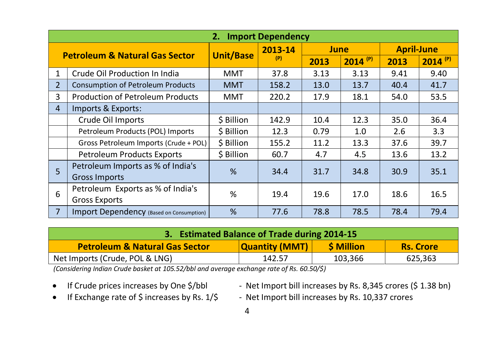|                | <b>Import Dependency</b><br>2.            |                  |         |             |              |                   |              |  |
|----------------|-------------------------------------------|------------------|---------|-------------|--------------|-------------------|--------------|--|
|                |                                           |                  | 2013-14 | <b>June</b> |              | <b>April-June</b> |              |  |
|                | <b>Petroleum &amp; Natural Gas Sector</b> | <b>Unit/Base</b> | (P)     | 2013        | $2014^{(P)}$ | 2013              | $2014^{(P)}$ |  |
| 1              | Crude Oil Production In India             | MMT              | 37.8    | 3.13        | 3.13         | 9.41              | 9.40         |  |
| $\overline{2}$ | <b>Consumption of Petroleum Products</b>  | <b>MMT</b>       | 158.2   | 13.0        | 13.7         | 40.4              | 41.7         |  |
| 3              | <b>Production of Petroleum Products</b>   | MMT              | 220.2   | 17.9        | 18.1         | 54.0              | 53.5         |  |
| 4              | Imports & Exports:                        |                  |         |             |              |                   |              |  |
|                | Crude Oil Imports                         | \$ Billion       | 142.9   | 10.4        | 12.3         | 35.0              | 36.4         |  |
|                | Petroleum Products (POL) Imports          | \$ Billion       | 12.3    | 0.79        | 1.0          | 2.6               | 3.3          |  |
|                | Gross Petroleum Imports (Crude + POL)     | \$ Billion       | 155.2   | 11.2        | 13.3         | 37.6              | 39.7         |  |
|                | Petroleum Products Exports                | \$ Billion       | 60.7    | 4.7         | 4.5          | 13.6              | 13.2         |  |
| 5              | Petroleum Imports as % of India's         | $\frac{9}{6}$    | 34.4    | 31.7        | 34.8         | 30.9              | 35.1         |  |
|                | <b>Gross Imports</b>                      |                  |         |             |              |                   |              |  |
| 6              | Petroleum Exports as % of India's         | %                | 19.4    | 19.6        | 17.0         | 18.6              | 16.5         |  |
|                | <b>Gross Exports</b>                      |                  |         |             |              |                   |              |  |
| $\overline{7}$ | Import Dependency (Based on Consumption)  | %                | 77.6    | 78.8        | 78.5         | 78.4              | 79.4         |  |

| 3. Estimated Balance of Trade during 2014-15                                                                |  |  |  |  |  |  |  |
|-------------------------------------------------------------------------------------------------------------|--|--|--|--|--|--|--|
| <b>Quantity (MMT)</b><br><b>\$ Million</b><br><b>Petroleum &amp; Natural Gas Sector</b><br><b>Rs. Crore</b> |  |  |  |  |  |  |  |
| Net Imports (Crude, POL & LNG)<br>103,366<br>625,363<br>142.57                                              |  |  |  |  |  |  |  |

*(Considering Indian Crude basket at 105.52/bbl and average exchange rate of Rs. 60.50/\$)*

- 
- If Crude prices increases by One \$/bbl Net Import bill increases by Rs. 8,345 crores (\$1.38 bn)
- 
- If Exchange rate of \$ increases by Rs. 1/\$ Net Import bill increases by Rs. 10,337 crores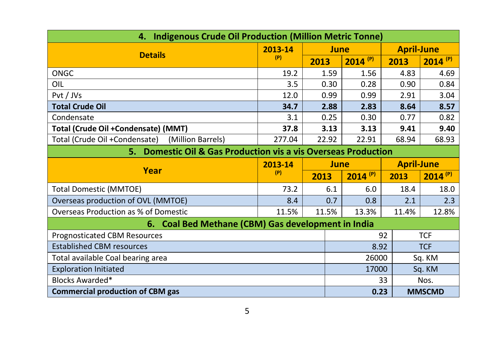| <b>Indigenous Crude Oil Production (Million Metric Tonne)</b><br>4. |         |             |              |                   |                       |  |
|---------------------------------------------------------------------|---------|-------------|--------------|-------------------|-----------------------|--|
| <b>Details</b>                                                      | 2013-14 | <b>June</b> |              | <b>April-June</b> |                       |  |
|                                                                     | (P)     | 2013        | $2014^{(P)}$ | 2013              | $2014$ <sup>(P)</sup> |  |
| ONGC                                                                | 19.2    | 1.59        | 1.56         | 4.83              | 4.69                  |  |
| OIL                                                                 | 3.5     | 0.30        | 0.28         | 0.90              | 0.84                  |  |
| Pvt / JVs                                                           | 12.0    | 0.99        | 0.99         | 2.91              | 3.04                  |  |
| <b>Total Crude Oil</b>                                              | 34.7    | 2.88        | 2.83         | 8.64              | 8.57                  |  |
| Condensate                                                          | 3.1     | 0.25        | 0.30         | 0.77              | 0.82                  |  |
| Total (Crude Oil +Condensate) (MMT)                                 | 37.8    | 3.13        | 3.13         | 9.41              | 9.40                  |  |
| Total (Crude Oil +Condensate) (Million Barrels)                     | 277.04  | 22.92       | 22.91        | 68.94             | 68.93                 |  |
| 5. Domestic Oil & Gas Production vis a vis Overseas Production      |         |             |              |                   |                       |  |
| Year                                                                | 2013-14 | <b>June</b> |              | <b>April-June</b> |                       |  |
|                                                                     | (P)     | 2013        | $2014^{(P)}$ | 2013              | $2014^{(P)}$          |  |
| <b>Total Domestic (MMTOE)</b>                                       | 73.2    | 6.1         | 6.0          | 18.4              | 18.0                  |  |
| Overseas production of OVL (MMTOE)                                  | 8.4     | 0.7         | 0.8          | 2.1               | 2.3                   |  |
| Overseas Production as % of Domestic                                | 11.5%   | 11.5%       | 13.3%        | 11.4%             | 12.8%                 |  |
| 6. Coal Bed Methane (CBM) Gas development in India                  |         |             |              |                   |                       |  |
| Prognosticated CBM Resources                                        |         |             |              | 92                | <b>TCF</b>            |  |
| <b>Established CBM resources</b>                                    |         |             | 8.92         |                   | <b>TCF</b>            |  |
| Total available Coal bearing area                                   |         |             | 26000        |                   | Sq. KM                |  |
| <b>Exploration Initiated</b>                                        |         |             | 17000        |                   | Sq. KM                |  |
| Blocks Awarded*                                                     |         |             |              | 33                | Nos.                  |  |
| <b>Commercial production of CBM gas</b><br>0.23<br><b>MMSCMD</b>    |         |             |              |                   |                       |  |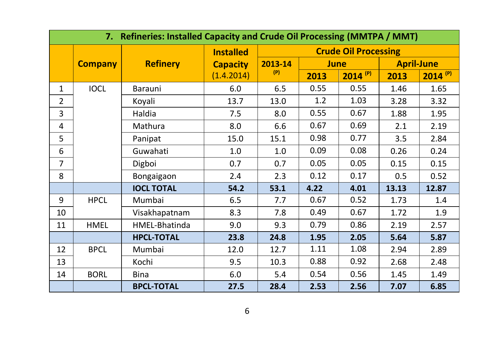|                | 7. Refineries: Installed Capacity and Crude Oil Processing (MMTPA / MMT) |                   |                  |         |             |                             |                   |              |
|----------------|--------------------------------------------------------------------------|-------------------|------------------|---------|-------------|-----------------------------|-------------------|--------------|
|                |                                                                          |                   | <b>Installed</b> |         |             | <b>Crude Oil Processing</b> |                   |              |
|                | <b>Company</b>                                                           | <b>Refinery</b>   | <b>Capacity</b>  | 2013-14 | <b>June</b> |                             | <b>April-June</b> |              |
|                |                                                                          |                   | (1.4.2014)       | (P)     | 2013        | $2014^{(P)}$                | 2013              | $2014^{(P)}$ |
| $\mathbf{1}$   | <b>IOCL</b>                                                              | Barauni           | 6.0              | 6.5     | 0.55        | 0.55                        | 1.46              | 1.65         |
| $\overline{2}$ |                                                                          | Koyali            | 13.7             | 13.0    | 1.2         | 1.03                        | 3.28              | 3.32         |
| 3              |                                                                          | Haldia            | 7.5              | 8.0     | 0.55        | 0.67                        | 1.88              | 1.95         |
| 4              |                                                                          | Mathura           | 8.0              | 6.6     | 0.67        | 0.69                        | 2.1               | 2.19         |
| 5              |                                                                          | Panipat           | 15.0             | 15.1    | 0.98        | 0.77                        | 3.5               | 2.84         |
| 6              |                                                                          | Guwahati          | 1.0              | 1.0     | 0.09        | 0.08                        | 0.26              | 0.24         |
| 7              |                                                                          | Digboi            | 0.7              | 0.7     | 0.05        | 0.05                        | 0.15              | 0.15         |
| 8              |                                                                          | Bongaigaon        | 2.4              | 2.3     | 0.12        | 0.17                        | 0.5               | 0.52         |
|                |                                                                          | <b>IOCL TOTAL</b> | 54.2             | 53.1    | 4.22        | 4.01                        | 13.13             | 12.87        |
| 9              | <b>HPCL</b>                                                              | Mumbai            | 6.5              | 7.7     | 0.67        | 0.52                        | 1.73              | 1.4          |
| 10             |                                                                          | Visakhapatnam     | 8.3              | 7.8     | 0.49        | 0.67                        | 1.72              | 1.9          |
| 11             | <b>HMEL</b>                                                              | HMEL-Bhatinda     | 9.0              | 9.3     | 0.79        | 0.86                        | 2.19              | 2.57         |
|                |                                                                          | <b>HPCL-TOTAL</b> | 23.8             | 24.8    | 1.95        | 2.05                        | 5.64              | 5.87         |
| 12             | <b>BPCL</b>                                                              | Mumbai            | 12.0             | 12.7    | 1.11        | 1.08                        | 2.94              | 2.89         |
| 13             |                                                                          | Kochi             | 9.5              | 10.3    | 0.88        | 0.92                        | 2.68              | 2.48         |
| 14             | <b>BORL</b>                                                              | <b>Bina</b>       | 6.0              | 5.4     | 0.54        | 0.56                        | 1.45              | 1.49         |
|                |                                                                          | <b>BPCL-TOTAL</b> | 27.5             | 28.4    | 2.53        | 2.56                        | 7.07              | 6.85         |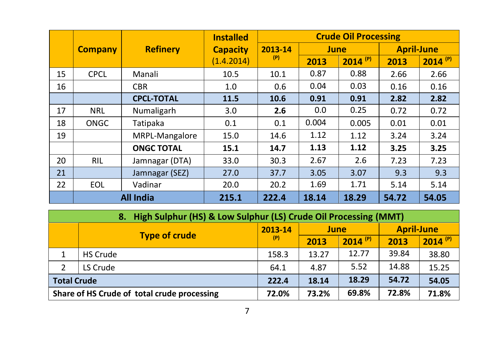|    |                |                   | <b>Installed</b> |         | <b>Crude Oil Processing</b> |              |                   |              |  |
|----|----------------|-------------------|------------------|---------|-----------------------------|--------------|-------------------|--------------|--|
|    | <b>Company</b> | <b>Refinery</b>   | <b>Capacity</b>  | 2013-14 | June                        |              | <b>April-June</b> |              |  |
|    |                |                   | (1.4.2014)       | (P)     | 2013                        | $2014^{(P)}$ | 2013              | $2014^{(P)}$ |  |
| 15 | <b>CPCL</b>    | Manali            | 10.5             | 10.1    | 0.87                        | 0.88         | 2.66              | 2.66         |  |
| 16 |                | <b>CBR</b>        | 1.0              | 0.6     | 0.04                        | 0.03         | 0.16              | 0.16         |  |
|    |                | <b>CPCL-TOTAL</b> | 11.5             | 10.6    | 0.91                        | 0.91         | 2.82              | 2.82         |  |
| 17 | <b>NRL</b>     | Numaligarh        | 3.0              | 2.6     | 0.0                         | 0.25         | 0.72              | 0.72         |  |
| 18 | <b>ONGC</b>    | Tatipaka          | 0.1              | 0.1     | 0.004                       | 0.005        | 0.01              | 0.01         |  |
| 19 |                | MRPL-Mangalore    | 15.0             | 14.6    | 1.12                        | 1.12         | 3.24              | 3.24         |  |
|    |                | <b>ONGC TOTAL</b> | 15.1             | 14.7    | 1.13                        | 1.12         | 3.25              | 3.25         |  |
| 20 | <b>RIL</b>     | Jamnagar (DTA)    | 33.0             | 30.3    | 2.67                        | 2.6          | 7.23              | 7.23         |  |
| 21 |                | Jamnagar (SEZ)    | 27.0             | 37.7    | 3.05                        | 3.07         | 9.3               | 9.3          |  |
| 22 | EOL            | Vadinar           | 20.0             | 20.2    | 1.69                        | 1.71         | 5.14              | 5.14         |  |
|    |                | <b>All India</b>  | 215.1            | 222.4   | 18.14                       | 18.29        | 54.72             | 54.05        |  |

| 8. High Sulphur (HS) & Low Sulphur (LS) Crude Oil Processing (MMT) |                                             |       |       |                       |                   |              |  |  |
|--------------------------------------------------------------------|---------------------------------------------|-------|-------|-----------------------|-------------------|--------------|--|--|
|                                                                    |                                             |       | June  |                       | <b>April-June</b> |              |  |  |
|                                                                    | <b>Type of crude</b>                        | (P)   | 2013  | $2014$ <sup>(P)</sup> | 2013              | $2014^{(P)}$ |  |  |
|                                                                    | <b>HS Crude</b>                             | 158.3 | 13.27 | 12.77                 | 39.84             | 38.80        |  |  |
|                                                                    | LS Crude                                    | 64.1  | 4.87  | 5.52                  | 14.88             | 15.25        |  |  |
| <b>Total Crude</b>                                                 |                                             | 222.4 | 18.14 | 18.29                 | 54.72             | 54.05        |  |  |
|                                                                    | Share of HS Crude of total crude processing | 72.0% | 73.2% | 69.8%                 | 72.8%             | 71.8%        |  |  |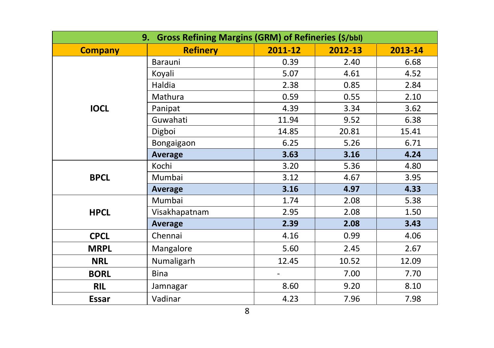| <b>Gross Refining Margins (GRM) of Refineries (\$/bbl)</b><br>9. |                 |         |         |         |  |  |  |
|------------------------------------------------------------------|-----------------|---------|---------|---------|--|--|--|
| <b>Company</b>                                                   | <b>Refinery</b> | 2011-12 | 2012-13 | 2013-14 |  |  |  |
|                                                                  | Barauni         | 0.39    | 2.40    | 6.68    |  |  |  |
|                                                                  | Koyali          | 5.07    | 4.61    | 4.52    |  |  |  |
|                                                                  | Haldia          | 2.38    | 0.85    | 2.84    |  |  |  |
|                                                                  | Mathura         | 0.59    | 0.55    | 2.10    |  |  |  |
| <b>IOCL</b>                                                      | Panipat         | 4.39    | 3.34    | 3.62    |  |  |  |
|                                                                  | Guwahati        | 11.94   | 9.52    | 6.38    |  |  |  |
|                                                                  | Digboi          | 14.85   | 20.81   | 15.41   |  |  |  |
|                                                                  | Bongaigaon      | 6.25    | 5.26    | 6.71    |  |  |  |
|                                                                  | <b>Average</b>  | 3.63    | 3.16    | 4.24    |  |  |  |
|                                                                  | Kochi           | 3.20    | 5.36    | 4.80    |  |  |  |
| <b>BPCL</b>                                                      | Mumbai          | 3.12    | 4.67    | 3.95    |  |  |  |
|                                                                  | <b>Average</b>  | 3.16    | 4.97    | 4.33    |  |  |  |
|                                                                  | Mumbai          | 1.74    | 2.08    | 5.38    |  |  |  |
| <b>HPCL</b>                                                      | Visakhapatnam   | 2.95    | 2.08    | 1.50    |  |  |  |
|                                                                  | <b>Average</b>  | 2.39    | 2.08    | 3.43    |  |  |  |
| <b>CPCL</b>                                                      | Chennai         | 4.16    | 0.99    | 4.06    |  |  |  |
| <b>MRPL</b>                                                      | Mangalore       | 5.60    | 2.45    | 2.67    |  |  |  |
| <b>NRL</b>                                                       | Numaligarh      | 12.45   | 10.52   | 12.09   |  |  |  |
| <b>BORL</b>                                                      | Bina            |         | 7.00    | 7.70    |  |  |  |
| <b>RIL</b>                                                       | Jamnagar        | 8.60    | 9.20    | 8.10    |  |  |  |
| <b>Essar</b>                                                     | Vadinar         | 4.23    | 7.96    | 7.98    |  |  |  |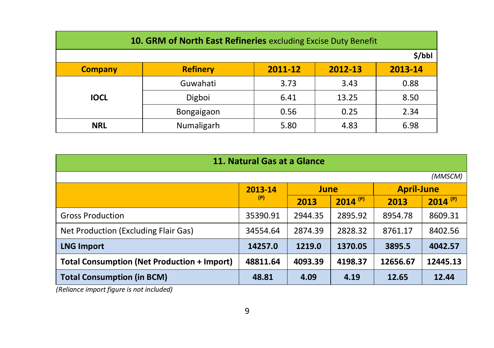| 10. GRM of North East Refineries excluding Excise Duty Benefit |                 |         |         |         |  |  |  |  |
|----------------------------------------------------------------|-----------------|---------|---------|---------|--|--|--|--|
| \$/bbl                                                         |                 |         |         |         |  |  |  |  |
| <b>Company</b>                                                 | <b>Refinery</b> | 2011-12 | 2012-13 | 2013-14 |  |  |  |  |
|                                                                | Guwahati        | 3.73    | 3.43    | 0.88    |  |  |  |  |
| <b>IOCL</b>                                                    | Digboi          | 6.41    | 13.25   | 8.50    |  |  |  |  |
|                                                                | Bongaigaon      | 0.56    | 0.25    | 2.34    |  |  |  |  |
| <b>NRL</b>                                                     | Numaligarh      | 5.80    | 4.83    | 6.98    |  |  |  |  |

| 11. Natural Gas at a Glance                                                                                                                              |          |         |                       |                   |                       |  |  |  |
|----------------------------------------------------------------------------------------------------------------------------------------------------------|----------|---------|-----------------------|-------------------|-----------------------|--|--|--|
|                                                                                                                                                          |          |         |                       |                   | (MMSCM)               |  |  |  |
|                                                                                                                                                          | 2013-14  | June    |                       | <b>April-June</b> |                       |  |  |  |
|                                                                                                                                                          | (P)      | 2013    | $2014$ <sup>(P)</sup> | 2013              | $2014$ <sup>(P)</sup> |  |  |  |
| <b>Gross Production</b>                                                                                                                                  | 35390.91 | 2944.35 | 2895.92               | 8954.78           | 8609.31               |  |  |  |
| Net Production (Excluding Flair Gas)                                                                                                                     | 34554.64 | 2874.39 | 2828.32               | 8761.17           | 8402.56               |  |  |  |
| <b>LNG Import</b>                                                                                                                                        | 14257.0  | 1219.0  | 1370.05               | 3895.5            | 4042.57               |  |  |  |
| <b>Total Consumption (Net Production + Import)</b><br>4198.37<br>12445.13<br>48811.64<br>4093.39<br>12656.67                                             |          |         |                       |                   |                       |  |  |  |
| <b>Total Consumption (in BCM)</b><br>the second contract the contract of the contract of the contract of the contract of the contract of the contract of | 48.81    | 4.09    | 4.19                  | 12.65             | 12.44                 |  |  |  |

*(Reliance import figure is not included)*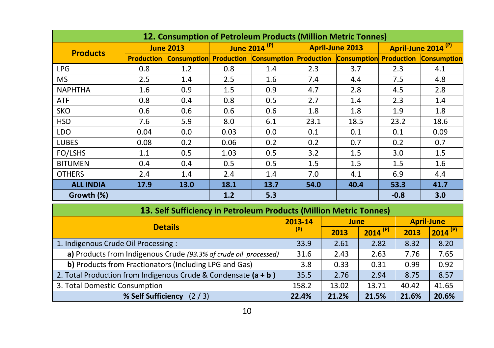|                  |                   |                                                                                                                |                                             | 12. Consumption of Petroleum Products (Million Metric Tonnes)                                                   |                 |               |                   |                                |
|------------------|-------------------|----------------------------------------------------------------------------------------------------------------|---------------------------------------------|-----------------------------------------------------------------------------------------------------------------|-----------------|---------------|-------------------|--------------------------------|
| <b>Products</b>  |                   | <b>June 2013</b>                                                                                               |                                             | June 2014 <sup>(P)</sup>                                                                                        | April-June 2013 |               |                   | April-June 2014 <sup>(P)</sup> |
|                  | <b>Production</b> | <b>Consumption Production</b>                                                                                  |                                             | <b>Consumption Production Consumption</b>                                                                       |                 |               | <b>Production</b> | <b>Consumption</b>             |
| <b>LPG</b>       | 0.8               | 1.2                                                                                                            | 0.8                                         | 1.4                                                                                                             | 2.3             | 3.7           | 2.3               | 4.1                            |
| <b>MS</b>        | 2.5               | 1.4                                                                                                            | $2.5\,$                                     | 1.6                                                                                                             | 7.4             | 4.4           | 7.5               | 4.8                            |
| <b>NAPHTHA</b>   | 1.6               | 0.9                                                                                                            | 1.5                                         | 0.9                                                                                                             | 4.7             | 2.8           | 4.5               | 2.8                            |
| <b>ATF</b>       | 0.8               | 0.4                                                                                                            | 0.8                                         | 0.5                                                                                                             | 2.7             | $1.4^{\circ}$ | 2.3               | 1.4                            |
| SKO              | 0.6               | 0.6                                                                                                            | 0.6                                         | 0.6                                                                                                             | 1.8             | 1.8           | 1.9               | 1.8                            |
| <b>HSD</b>       | 7.6               | 5.9                                                                                                            | 8.0                                         | 6.1                                                                                                             | 23.1            | 18.5          | 23.2              | 18.6                           |
| LDO              | 0.04              | 0.0                                                                                                            | 0.03                                        | 0.0                                                                                                             | 0.1             | 0.1           | 0.1               | 0.09                           |
| <b>LUBES</b>     | 0.08              | 0.2                                                                                                            | 0.06                                        | 0.2                                                                                                             | 0.2             | 0.7           | 0.2               | 0.7                            |
| FO/LSHS          | 1.1               | 0.5                                                                                                            | 1.03                                        | 0.5                                                                                                             | 3.2             | 1.5           | 3.0               | 1.5                            |
| <b>BITUMEN</b>   | 0.4               | 0.4                                                                                                            | 0.5                                         | 0.5                                                                                                             | 1.5             | 1.5           | 1.5               | 1.6                            |
| <b>OTHERS</b>    | 2.4               | 1.4                                                                                                            | 2.4                                         | 1.4                                                                                                             | 7.0             | 4.1           | 6.9               | 4.4                            |
| <b>ALL INDIA</b> | 17.9              | 13.0                                                                                                           | 18.1                                        | 13.7                                                                                                            | 54.0            | 40.4          | 53.3              | 41.7                           |
| Growth (%)       |                   |                                                                                                                | 1.2                                         | 5.3                                                                                                             |                 |               | $-0.8$            | 3.0                            |
|                  |                   | and the second contract of the second second to the second second to the second second to the second second to | the company's company's company's company's | the contract of the contract of the contract of the contract of the contract of the contract of the contract of |                 |               |                   |                                |

| 13. Self Sufficiency in Petroleum Products (Million Metric Tonnes) |         |       |                       |                   |              |
|--------------------------------------------------------------------|---------|-------|-----------------------|-------------------|--------------|
| <b>Details</b>                                                     | 2013-14 | June  |                       | <b>April-June</b> |              |
|                                                                    | (P)     | 2013  | $2014$ <sup>(P)</sup> | 2013              | $2014^{(P)}$ |
| 1. Indigenous Crude Oil Processing:                                | 33.9    | 2.61  | 2.82                  | 8.32              | 8.20         |
| a) Products from Indigenous Crude (93.3% of crude oil processed)   | 31.6    | 2.43  | 2.63                  | 7.76              | 7.65         |
| b) Products from Fractionators (Including LPG and Gas)             | 3.8     | 0.33  | 0.31                  | 0.99              | 0.92         |
| 2. Total Production from Indigenous Crude & Condensate $(a + b)$   | 35.5    | 2.76  | 2.94                  | 8.75              | 8.57         |
| 3. Total Domestic Consumption                                      | 158.2   | 13.02 | 13.71                 | 40.42             | 41.65        |
| % Self Sufficiency<br>(2/3)                                        | 22.4%   | 21.2% | 21.5%                 | 21.6%             | 20.6%        |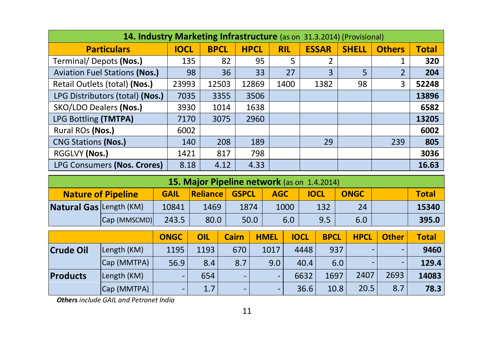| 14. Industry Marketing Infrastructure (as on 31.3.2014) (Provisional) |             |             |             |            |              |              |               |              |
|-----------------------------------------------------------------------|-------------|-------------|-------------|------------|--------------|--------------|---------------|--------------|
| <b>Particulars</b>                                                    | <b>IOCL</b> | <b>BPCL</b> | <b>HPCL</b> | <b>RIL</b> | <b>ESSAR</b> | <b>SHELL</b> | <b>Others</b> | <b>Total</b> |
| Terminal/Depots (Nos.)                                                | 135         | 82          | 95          | 5          | 2            |              |               | 320          |
| <b>Aviation Fuel Stations (Nos.)</b>                                  | 98          | 36          | 33          | 27         | 3            | 5            |               | 204          |
| Retail Outlets (total) (Nos.)                                         | 23993       | 12503       | 12869       | 1400       | 1382         | 98           | 3             | 52248        |
| LPG Distributors (total) (Nos.)                                       | 7035        | 3355        | 3506        |            |              |              |               | 13896        |
| SKO/LDO Dealers (Nos.)                                                | 3930        | 1014        | 1638        |            |              |              |               | 6582         |
| LPG Bottling (TMTPA)                                                  | 7170        | 3075        | 2960        |            |              |              |               | 13205        |
| Rural ROs (Nos.)                                                      | 6002        |             |             |            |              |              |               | 6002         |
| <b>CNG Stations (Nos.)</b>                                            | 140         | 208         | 189         |            | 29           |              | 239           | 805          |
| RGGLVY (Nos.)                                                         | 1421        | 817         | 798         |            |              |              |               | 3036         |
| LPG Consumers (Nos. Crores)                                           | 8.18        | 4.12        | 4.33        |            |              |              |               | 16.63        |

|                                |                           |             | 15. Major Pipeline network (as on 1.4.2014) |              |            |             |             |              |
|--------------------------------|---------------------------|-------------|---------------------------------------------|--------------|------------|-------------|-------------|--------------|
|                                | <b>Nature of Pipeline</b> | <b>GAIL</b> | <b>Reliance</b> L                           | <b>GSPCL</b> | <b>AGC</b> | <b>IOCL</b> | <b>ONGC</b> | <b>Total</b> |
| <b>Natural Gas Length (KM)</b> |                           | 10841       | 1469                                        | 1874         | 1000       | 132         | 24          | 15340        |
|                                | Cap (MMSCMD)              | 243.5       | 80.0                                        | 50.0         | 6.0        | 9.5         | 6.0         | 395.0        |

|                  |             | <b>ONGC</b>              | OIL  | Cairn                    | <b>HMEL</b>              | <b>IOCL</b> | <b>BPCL</b> | <b>HPCL</b> | <b>Other</b>             | <b>Total</b> |
|------------------|-------------|--------------------------|------|--------------------------|--------------------------|-------------|-------------|-------------|--------------------------|--------------|
| <b>Crude Oil</b> | Length (KM) | 1195                     | 1193 | 670                      | 1017                     | 4448        | 937         |             | $\overline{\phantom{0}}$ | 9460         |
|                  | Cap (MMTPA) | 56.9                     | 8.4  | 8.7                      | 9.0                      | 40.4        | 6.0         |             |                          | 129.4        |
| Products         | Length (KM) | $\overline{\phantom{0}}$ | 654  | -                        | $\overline{\phantom{0}}$ | 6632        | 1697        | 2407        | 2693                     | 14083        |
|                  | Cap (MMTPA) | $\overline{\phantom{0}}$ | 1.7  | $\overline{\phantom{0}}$ | $\overline{\phantom{0}}$ | 36.6        | 10.8        | 20.5        | 8.7                      | 78.3         |

*Others include GAIL and Petronet India*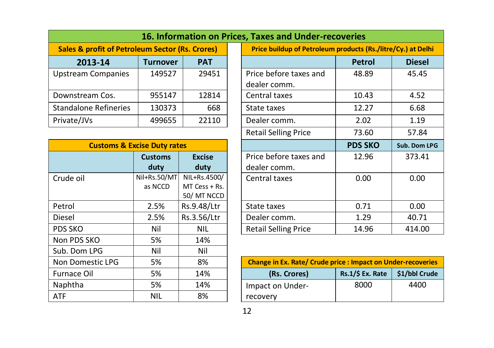|                                                            |          |            | 16. Information on Prices, Taxes and Under-r |
|------------------------------------------------------------|----------|------------|----------------------------------------------|
| <b>Sales &amp; profit of Petroleum Sector (Rs. Crores)</b> |          |            | <b>Price buildup of Petrolet</b>             |
| 2013-14                                                    | Turnover | <b>PAT</b> |                                              |
| <b>Upstream Companies</b>                                  | 149527   | 29451      | Price before taxes and                       |
|                                                            |          |            | dealer comm.                                 |
| Downstream Cos.                                            | 955147   | 12814      | Central taxes                                |
| <b>Standalone Refineries</b>                               | 130373   | 668        | State taxes                                  |
| Private/JVs                                                | 499655   | 22110      | Dealer comm.                                 |

|                    | <b>Customs &amp; Excise Duty rates</b> |                 |                            |
|--------------------|----------------------------------------|-----------------|----------------------------|
|                    | <b>Customs</b>                         | <b>Excise</b>   | Price before taxes         |
|                    | duty                                   | duty            | dealer comm.               |
| Crude oil          | Nil+Rs.50/MT                           | NIL+Rs.4500/    | Central taxes              |
|                    | as NCCD                                | $MT Cess + Rs.$ |                            |
|                    |                                        | 50/MT NCCD      |                            |
| Petrol             | 2.5%                                   | Rs.9.48/Ltr     | State taxes                |
| Diesel             | 2.5%                                   | Rs.3.56/Ltr     | Dealer comm.               |
| PDS SKO            | Nil                                    | <b>NIL</b>      | Retail Selling Price       |
| Non PDS SKO        | 5%                                     | 14%             |                            |
| Sub. Dom LPG       | Nil                                    | Nil             |                            |
| Non Domestic LPG   | 5%                                     | 8%              | <b>Change in Ex. Rate/</b> |
| <b>Furnace Oil</b> | 5%                                     | 14%             | (Rs. Crores)               |
| Naphtha            | 5%                                     | 14%             | Impact on Under-           |
| <b>ATF</b>         | <b>NIL</b>                             | 8%              | recovery                   |

|                                                            |                 |                 | 16. Information on Prices, Taxes and Under-recoveries        |                |               |
|------------------------------------------------------------|-----------------|-----------------|--------------------------------------------------------------|----------------|---------------|
| <b>Sales &amp; profit of Petroleum Sector (Rs. Crores)</b> |                 |                 | Price buildup of Petroleum products (Rs./litre/Cy.) at Delhi |                |               |
| 2013-14                                                    | <b>Turnover</b> | <b>PAT</b>      |                                                              | <b>Petrol</b>  | <b>Diesel</b> |
| <b>Upstream Companies</b>                                  | 149527          | 29451           | Price before taxes and                                       | 48.89          | 45.45         |
|                                                            |                 |                 | dealer comm.                                                 |                |               |
| Downstream Cos.                                            | 955147          | 12814           | Central taxes                                                | 10.43          | 4.52          |
| Standalone Refineries                                      | 130373          | 668             | State taxes                                                  | 12.27          | 6.68          |
| Private/JVs                                                | 499655          | 22110           | Dealer comm.                                                 | 2.02           | 1.19          |
|                                                            |                 |                 | <b>Retail Selling Price</b>                                  | 73.60          | 57.84         |
| <b>Customs &amp; Excise Duty rates</b>                     |                 |                 |                                                              | <b>PDS SKO</b> | Sub. Dom LPG  |
|                                                            | <b>Customs</b>  | <b>Excise</b>   | Price before taxes and                                       | 12.96          | 373.41        |
|                                                            | duty            | duty            | dealer comm.                                                 |                |               |
| Crude oil                                                  | Nil+Rs.50/MT    | NIL+Rs.4500/    | Central taxes                                                | 0.00           | 0.00          |
|                                                            | as NCCD         | $MT Cess + Rs.$ |                                                              |                |               |
|                                                            |                 | 50/MT NCCD      |                                                              |                |               |
| Petrol                                                     | 2.5%            | Rs.9.48/Ltr     | State taxes                                                  | 0.71           | 0.00          |
| Diesel                                                     | 2.5%            | Rs.3.56/Ltr     | Dealer comm.                                                 | 1.29           | 40.71         |
| PDS SKO                                                    | Nil             | <b>NIL</b>      | <b>Retail Selling Price</b>                                  | 14.96          | 414.00        |

| Non Domestic LPG | 5%         | 8%  | <b>Change in Ex. Rate/ Crude price : Impact on Under-recoveries</b> |                    |               |
|------------------|------------|-----|---------------------------------------------------------------------|--------------------|---------------|
| Furnace Oil      | 5%         | 14% | (Rs. Crores)                                                        | $Rs.1/\$$ Ex. Rate | \$1/bbl Crude |
| Naphtha          | 5%         | 14% | Impact on Under-                                                    | 8000               | 4400          |
| ATF              | <b>NIL</b> | 8%  | recovery                                                            |                    |               |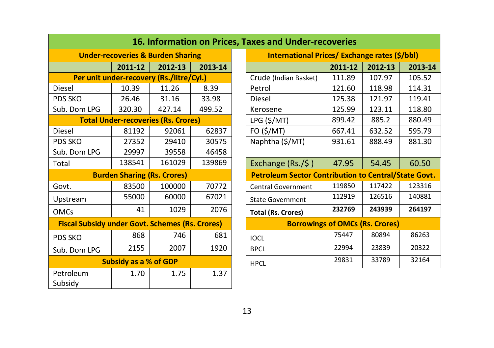|                                                        |                              |                                              |         | <b>16. Information on Prices, Taxes and Under-recoveries</b> |                                        |         |
|--------------------------------------------------------|------------------------------|----------------------------------------------|---------|--------------------------------------------------------------|----------------------------------------|---------|
|                                                        |                              | <b>Under-recoveries &amp; Burden Sharing</b> |         | <b>International Prices/ Exchange rates (\$</b>              |                                        |         |
|                                                        | 2011-12                      | 2012-13                                      | 2013-14 |                                                              | 2011-12                                | 2012-13 |
|                                                        |                              | Per unit under-recovery (Rs./litre/Cyl.)     |         | Crude (Indian Basket)                                        | 111.89                                 | 107.97  |
| <b>Diesel</b>                                          | 10.39                        | 11.26                                        | 8.39    | Petrol                                                       | 121.60                                 | 118.98  |
| PDS SKO                                                | 26.46                        | 31.16                                        | 33.98   | Diesel                                                       | 125.38                                 | 121.97  |
| Sub. Dom LPG                                           | 320.30                       | 427.14                                       | 499.52  | Kerosene                                                     | 125.99                                 | 123.11  |
|                                                        |                              | <b>Total Under-recoveries (Rs. Crores)</b>   |         | LPG (\$/MT)                                                  | 899.42                                 | 885.2   |
| Diesel                                                 | 81192                        | 92061                                        | 62837   | FO (\$/MT)                                                   | 667.41                                 | 632.52  |
| PDS SKO                                                | 27352                        | 29410                                        | 30575   | Naphtha (\$/MT)                                              | 931.61                                 | 888.49  |
| Sub. Dom LPG                                           | 29997                        | 39558                                        | 46458   |                                                              |                                        |         |
| Total                                                  | 138541                       | 161029                                       | 139869  | Exchange $(Rs./\frac{1}{2})$                                 | 47.95                                  | 54.45   |
|                                                        |                              | <b>Burden Sharing (Rs. Crores)</b>           |         | <b>Petroleum Sector Contribution to Central/S</b>            |                                        |         |
| Govt.                                                  | 83500                        | 100000                                       | 70772   | <b>Central Government</b>                                    | 119850                                 | 117422  |
| Upstream                                               | 55000                        | 60000                                        | 67021   | <b>State Government</b>                                      | 112919                                 | 126516  |
| <b>OMCs</b>                                            | 41                           | 1029                                         | 2076    | <b>Total (Rs. Crores)</b>                                    | 232769                                 | 243939  |
| <b>Fiscal Subsidy under Govt. Schemes (Rs. Crores)</b> |                              |                                              |         |                                                              | <b>Borrowings of OMCs (Rs. Crores)</b> |         |
| PDS SKO                                                | 868                          | 746                                          | 681     | <b>IOCL</b>                                                  | 75447                                  | 80894   |
| Sub. Dom LPG                                           | 2155                         | 2007                                         | 1920    | <b>BPCL</b>                                                  | 22994                                  | 23839   |
|                                                        | <b>Subsidy as a % of GDP</b> |                                              |         | <b>HPCL</b>                                                  | 29831                                  | 33789   |
| Petroleum<br>Subsidy                                   | 1.70                         | 1.75                                         | 1.37    |                                                              |                                        |         |

|                                                        |                              |                                              |         | <u>10. THOM MODIFIES, TAXES AND ONCE TECOVEMES</u>          |         |         |         |
|--------------------------------------------------------|------------------------------|----------------------------------------------|---------|-------------------------------------------------------------|---------|---------|---------|
|                                                        |                              | <b>Under-recoveries &amp; Burden Sharing</b> |         | <b>International Prices/ Exchange rates (\$/bbl)</b>        |         |         |         |
|                                                        | 2011-12                      | 2012-13                                      | 2013-14 |                                                             | 2011-12 | 2012-13 | 2013-14 |
|                                                        |                              | Per unit under-recovery (Rs./litre/Cyl.)     |         | Crude (Indian Basket)                                       | 111.89  | 107.97  | 105.52  |
| Diesel                                                 | 10.39                        | 11.26                                        | 8.39    | Petrol                                                      | 121.60  | 118.98  | 114.31  |
| PDS SKO                                                | 26.46                        | 31.16                                        | 33.98   | Diesel                                                      | 125.38  | 121.97  | 119.41  |
| Sub. Dom LPG                                           | 320.30                       | 427.14                                       | 499.52  | Kerosene                                                    | 125.99  | 123.11  | 118.80  |
|                                                        |                              | <b>Total Under-recoveries (Rs. Crores)</b>   |         | LPG (\$/MT)                                                 | 899.42  | 885.2   | 880.49  |
| Diesel                                                 | 81192                        | 92061                                        | 62837   | FO (\$/MT)                                                  | 667.41  | 632.52  | 595.79  |
| PDS SKO                                                | 27352                        | 29410                                        | 30575   | Naphtha (\$/MT)                                             | 931.61  | 888.49  | 881.30  |
| Sub. Dom LPG                                           | 29997                        | 39558                                        | 46458   |                                                             |         |         |         |
| Total                                                  | 138541                       | 161029                                       | 139869  | Exchange (Rs./\$)                                           | 47.95   | 54.45   | 60.50   |
|                                                        |                              | <b>Burden Sharing (Rs. Crores)</b>           |         | <b>Petroleum Sector Contribution to Central/State Govt.</b> |         |         |         |
| Govt.                                                  | 83500                        | 100000                                       | 70772   | <b>Central Government</b>                                   | 119850  | 117422  | 123316  |
| Upstream                                               | 55000                        | 60000                                        | 67021   | <b>State Government</b>                                     | 112919  | 126516  | 140881  |
| <b>OMCs</b>                                            | 41                           | 1029                                         | 2076    | <b>Total (Rs. Crores)</b>                                   | 232769  | 243939  | 264197  |
| <b>Fiscal Subsidy under Govt. Schemes (Rs. Crores)</b> |                              |                                              |         | <b>Borrowings of OMCs (Rs. Crores)</b>                      |         |         |         |
| PDS SKO                                                | 868                          | 746                                          | 681     | <b>IOCL</b>                                                 | 75447   | 80894   | 86263   |
| Sub. Dom LPG                                           | 2155                         | 2007                                         | 1920    | <b>BPCL</b>                                                 | 22994   | 23839   | 20322   |
|                                                        | <b>Subsidy as a % of GDP</b> |                                              |         | <b>HPCL</b>                                                 | 29831   | 33789   | 32164   |
|                                                        |                              |                                              |         |                                                             |         |         |         |

#### **16. Information on Prices, Taxes and Under-recoveries**